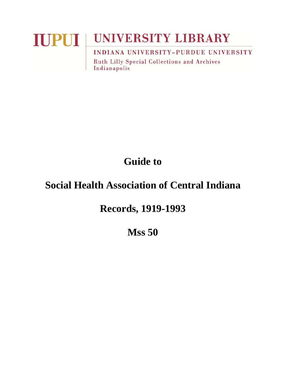# **IUPUI UNIVERSITY LIBRARY** INDIANA UNIVERSITY-PURDUE UNIVERSITY

**Ruth Lilly Special Collections and Archives** Indianapolis

**Guide to** 

## **Social Health Association of Central Indiana**

**Records, 1919-1993** 

**Mss 50**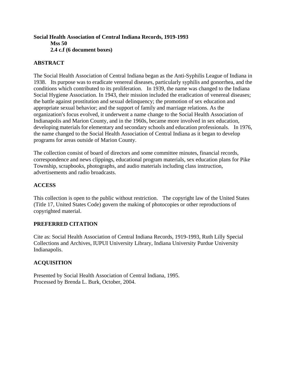### **Social Health Association of Central Indiana Records, 1919-1993 Mss 50 2.4 c.f (6 document boxes)**

## **ABSTRACT**

The Social Health Association of Central Indiana began as the Anti-Syphilis League of Indiana in 1938. Its purpose was to eradicate venereal diseases, particularly syphilis and gonorrhea, and the conditions which contributed to its proliferation. In 1939, the name was changed to the Indiana Social Hygiene Association. In 1943, their mission included the eradication of venereal diseases; the battle against prostitution and sexual delinquency; the promotion of sex education and appropriate sexual behavior; and the support of family and marriage relations. As the organization's focus evolved, it underwent a name change to the Social Health Association of Indianapolis and Marion County, and in the 1960s, became more involved in sex education, developing materials for elementary and secondary schools and education professionals. In 1976, the name changed to the Social Health Association of Central Indiana as it began to develop programs for areas outside of Marion County.

The collection consist of board of directors and some committee minutes, financial records, correspondence and news clippings, educational program materials, sex education plans for Pike Township, scrapbooks, photographs, and audio materials including class instruction, advertisements and radio broadcasts.

### **ACCESS**

This collection is open to the public without restriction. The copyright law of the United States (Title 17, United States Code) govern the making of photocopies or other reproductions of copyrighted material.

#### **PREFERRED CITATION**

Cite as: Social Health Association of Central Indiana Records, 1919-1993, Ruth Lilly Special Collections and Archives, IUPUI University Library, Indiana University Purdue University Indianapolis.

## **ACQUISITION**

Presented by Social Health Association of Central Indiana, 1995. Processed by Brenda L. Burk, October, 2004.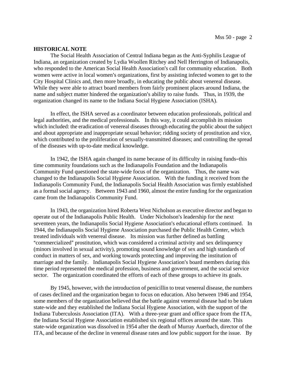#### **HISTORICAL NOTE**

The Social Health Association of Central Indiana began as the Anti-Syphilis League of Indiana, an organization created by Lydia Woollen Ritchey and Nell Herrington of Indianapolis, who responded to the American Social Health Association's call for community education. Both women were active in local women's organizations, first by assisting infected women to get to the City Hospital Clinics and, then more broadly, in educating the public about venereal disease. While they were able to attract board members from fairly prominent places around Indiana, the name and subject matter hindered the organization's ability to raise funds. Thus, in 1939, the organization changed its name to the Indiana Social Hygiene Association (ISHA).

In effect, the ISHA served as a coordinator between education professionals, political and legal authorities, and the medical professionals. In this way, it could accomplish its mission which included: the eradication of venereal diseases through educating the public about the subject and about appropriate and inappropriate sexual behavior; ridding society of prostitution and vice, which contributed to the proliferation of sexually-transmitted diseases; and controlling the spread of the diseases with up-to-date medical knowledge.

In 1942, the ISHA again changed its name because of its difficulty in raising funds-this time community foundations such as the Indianapolis Foundation and the Indianapolis Community Fund questioned the state-wide focus of the organization. Thus, the name was changed to the Indianapolis Social Hygiene Association. With the funding it received from the Indianapolis Community Fund, the Indianapolis Social Health Association was firmly established as a formal social agency. Between 1943 and 1960, almost the entire funding for the organization came from the Indianapolis Community Fund.

In 1943, the organization hired Roberta West Nicholson as executive director and began to operate out of the Indianapolis Public Health. Under Nicholson's leadership for the next seventeen years, the Indianapolis Social Hygiene Association's educational efforts continued. In 1944, the Indianapolis Social Hygiene Association purchased the Public Health Center, which treated individuals with venereal disease. Its mission was further defined as battling "commercialized" prostitution, which was considered a criminal activity and sex delinquency (minors involved in sexual activity), promoting sound knowledge of sex and high standards of conduct in matters of sex, and working towards protecting and improving the institution of marriage and the family. Indianapolis Social Hygiene Association's board members during this time period represented the medical profession, business and government, and the social service sector. The organization coordinated the efforts of each of these groups to achieve its goals.

By 1945, however, with the introduction of penicillin to treat venereal disease, the numbers of cases declined and the organization began to focus on education. Also between 1946 and 1954, some members of the organization believed that the battle against venereal disease had to be taken state-wide and they established the Indiana Social Hygiene Association, with the support of the Indiana Tuberculosis Association (ITA). With a three-year grant and office space from the ITA, the Indiana Social Hygiene Association established six regional offices around the state. This state-wide organization was dissolved in 1954 after the death of Murray Auerbach, director of the ITA, and because of the decline in venereal disease rates and low public support for the issue. By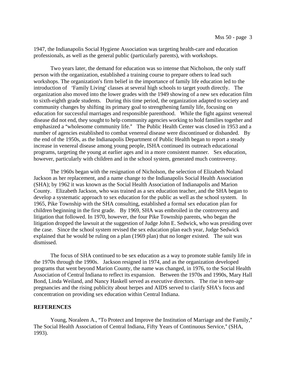1947, the Indianapolis Social Hygiene Association was targeting health-care and education professionals, as well as the general public (particularly parents), with workshops.

Two years later, the demand for education was so intense that Nicholson, the only staff person with the organization, established a training course to prepare others to lead such workshops. The organization's firm belief in the importance of family life education led to the introduction of 'Family Living' classes at several high schools to target youth directly. The organization also moved into the lower grades with the 1949 showing of a new sex education film to sixth-eighth grade students. During this time period, the organization adapted to society and community changes by shifting its primary goal to strengthening family life, focusing on education for successful marriages and responsible parenthood. While the fight against venereal disease did not end, they sought to help community agencies working to hold families together and emphasized a "wholesome community life." The Public Health Center was closed in 1953 and a number of agencies established to combat venereal disease were discontinued or disbanded. By the end of the 1950s, as the Indianapolis Department of Public Health began to report a steady increase in venereal disease among young people, ISHA continued its outreach educational programs, targeting the young at earlier ages and in a more consistent manner. Sex education, however, particularly with children and in the school system, generated much controversy.

The 1960s began with the resignation of Nicholson, the selection of Elizabeth Noland Jackson as her replacement, and a name change to the Indianapolis Social Health Association (SHA); by 1962 it was known as the Social Health Association of Indianapolis and Marion County. Elizabeth Jackson, who was trained as a sex education teacher, and the SHA began to develop a systematic approach to sex education for the public as well as the school system. In 1965, Pike Township with the SHA consulting, established a formal sex education plan for children beginning in the first grade. By 1969, SHA was embroiled in the controversy and litigation that followed. In 1970, however, the four Pike Township parents, who began the litigation dropped the lawsuit at the suggestion of Judge John E. Sedwick, who was presiding over the case. Since the school system revised the sex education plan each year, Judge Sedwick explained that he would be ruling on a plan (1969 plan) that no longer existed. The suit was dismissed.

The focus of SHA continued to be sex education as a way to promote stable family life in the 1970s through the 1990s. Jackson resigned in 1974, and as the organization developed programs that went beyond Marion County, the name was changed, in 1976, to the Social Health Association of Central Indiana to reflect its expansion. Between the 1970s and 1990s, Mary Hall Bond, Linda Weiland, and Nancy Haskell served as executive directors. The rise in teen-age pregnancies and the rising publicity about herpes and AIDS served to clarify SHA's focus and concentration on providing sex education within Central Indiana.

#### **REFERENCES**

Young, Noraleen A., "To Protect and Improve the Institution of Marriage and the Family," The Social Health Association of Central Indiana, Fifty Years of Continuous Service," (SHA, 1993).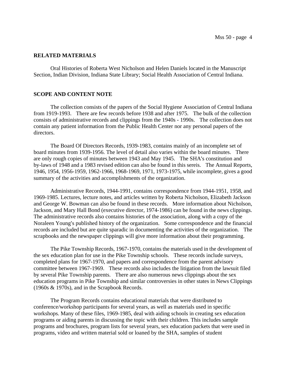#### **RELATED MATERIALS**

Oral Histories of Roberta West Nicholson and Helen Daniels located in the Manuscript Section, Indian Division, Indiana State Library; Social Health Association of Central Indiana.

#### **SCOPE AND CONTENT NOTE**

The collection consists of the papers of the Social Hygiene Association of Central Indiana from 1919-1993. There are few records before 1938 and after 1975. The bulk of the collection consists of administrative records and clippings from the 1940s - 1990s. The collection does not contain any patient information from the Public Health Center nor any personal papers of the directors.

The Board Of Directors Records, 1939-1983, contains mainly of an incomplete set of board minutes from 1939-1956. The level of detail also varies within the board minutes. There are only rough copies of minutes between 1943 and May 1945. The SHA's constitution and by-laws of 1948 and a 1983 revised edition can also be found in this sereis. The Annual Reports, 1946, 1954, 1956-1959, 1962-1966, 1968-1969, 1971, 1973-1975, while incomplete, gives a good summary of the activities and accomplishments of the organization.

Administrative Records, 1944-1991, contains correspondence from 1944-1951, 1958, and 1969-1985. Lectures, lecture notes, and articles written by Roberta Nicholson, Elizabeth Jackson and George W. Bowman can also be found in these records. More information about Nicholson, Jackson, and Mary Hall Bond (executive director, 1974-1986) can be found in the news clippings. The administrative records also contains histories of the association, along with a copy of the Noraleen Young's published history of the organization. Some correspondence and the financial records are included but are quite sparadic in documenting the activities of the organization. The scrapbooks and the newspaper clippings will give more information about their programming.

The Pike Township Records, 1967-1970, contains the materials used in the development of the sex education plan for use in the Pike Township schools. These records include surveys, completed plans for 1967-1970, and papers and correspondence from the parent advisory committee between 1967-1969. These records also includes the litigation from the lawsuit filed by several Pike Township parents. There are also numerous news clippings about the sex education programs in Pike Township and similar controversies in other states in News Clippings (1960s & 1970s), and in the Scrapbook Records.

The Program Records contains educational materials that were distributed to conference/workshop participants for several years, as well as materials used in specific workshops. Many of these files, 1969-1985, deal with aiding schools in creating sex education programs or aiding parents in discussing the topic with their children. This includes sample programs and brochures, program lists for several years, sex education packets that were used in programs, video and written material sold or loaned by the SHA, samples of student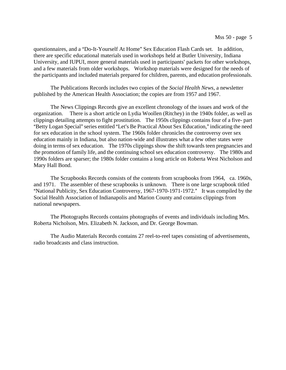questionnaires, and a "Do-It-Yourself At Home" Sex Education Flash Cards set. In addition, there are specific educational materials used in workshops held at Butler University, Indiana University, and IUPUI, more general materials used in participants' packets for other workshops, and a few materials from older workshops. Workshop materials were designed for the needs of the participants and included materials prepared for children, parents, and education professionals.

The Publications Records includes two copies of the *Social Health News*, a newsletter published by the American Health Association; the copies are from 1957 and 1967.

The News Clippings Records give an excellent chronology of the issues and work of the organization. There is a short article on Lydia Woollen (Ritchey) in the 1940s folder, as well as clippings detailing attempts to fight prostitution. The 1950s clippings contains four of a five- part "Betty Logan Special" series entitled "Let's Be Practical About Sex Education," indicating the need for sex education in the school system. The 1960s folder chronicles the controversy over sex education mainly in Indiana, but also nation-wide and illustrates what a few other states were doing in terms of sex education. The 1970s clippings show the shift towards teen pregnancies and the promotion of family life, and the continuing school sex education controversy. The 1980s and 1990s folders are sparser; the 1980s folder contains a long article on Roberta West Nicholson and Mary Hall Bond.

The Scrapbooks Records consists of the contents from scrapbooks from 1964, ca. 1960s, and 1971. The assembler of these scrapbooks is unknown. There is one large scrapbook titled "National Publicity, Sex Education Controversy, 1967-1970-1971-1972." It was compiled by the Social Health Association of Indianapolis and Marion County and contains clippings from national newspapers.

The Photographs Records contains photographs of events and individuals including Mrs. Roberta Nicholson, Mrs. Elizabeth N. Jackson, and Dr. George Bowman.

The Audio Materials Records contains 27 reel-to-reel tapes consisting of advertisements, radio broadcasts and class instruction.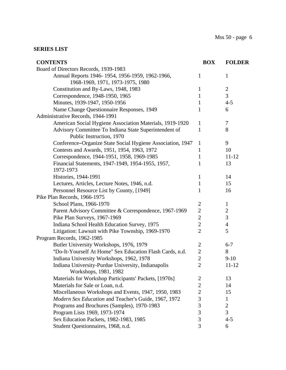## **SERIES LIST**

| <b>CONTENTS</b>                                            | <b>BOX</b>     | <b>FOLDER</b>  |
|------------------------------------------------------------|----------------|----------------|
| Board of Directors Records, 1939-1983                      |                |                |
| Annual Reports 1946-1954, 1956-1959, 1962-1966,            | 1              | 1              |
| 1968-1969, 1971, 1973-1975, 1980                           |                |                |
| Constitution and By-Laws, 1948, 1983                       | 1              | $\mathbf{2}$   |
| Correspondence, 1948-1950, 1965                            | $\mathbf{1}$   | 3              |
| Minutes, 1939-1947, 1950-1956                              | 1              | $4 - 5$        |
| Name Change Questionnaire Responses, 1949                  | 1              | 6              |
| Administrative Records, 1944-1991                          |                |                |
| American Social Hygiene Association Materials, 1919-1920   | 1              | 7              |
| Advisory Committee To Indiana State Superintendent of      | $\mathbf{1}$   | 8              |
| Public Instruction, 1970                                   |                |                |
| Conference-Organize State Social Hygiene Association, 1947 | $\mathbf{1}$   | 9              |
| Contests and Awards, 1951, 1954, 1963, 1972                | 1              | 10             |
| Correspondence, 1944-1951, 1958, 1969-1985                 | 1              | $11 - 12$      |
| Financial Statements, 1947-1949, 1954-1955, 1957,          | 1              | 13             |
| 1972-1973                                                  |                |                |
| Histories, 1944-1991                                       | 1              | 14             |
| Lectures, Articles, Lecture Notes, 1946, n.d.              | $\mathbf{1}$   | 15             |
| Personnel Resource List by County, [1949]                  | 1              | 16             |
| Pike Plan Records, 1966-1975                               |                |                |
| School Plans, 1966-1970                                    | $\overline{2}$ | $\mathbf{1}$   |
| Parent Advisory Committee & Correspondence, 1967-1969      | $\mathbf{2}$   | $\overline{c}$ |
| Pike Plan Surveys, 1967-1969                               | $\overline{2}$ | 3              |
| Indiana School Health Education Survey, 1975               | $\overline{2}$ | $\overline{4}$ |
| Litigation: Lawsuit with Pike Township, 1969-1970          | $\overline{2}$ | 5              |
| Program Records, 1962-1985                                 |                |                |
| Butler University Workshops, 1976, 1979                    | $\overline{c}$ | $6 - 7$        |
| "Do-It-Yourself At Home" Sex Education Flash Cards, n.d.   | $\mathbf{2}$   | 8              |
| Indiana University Workshops, 1962, 1978                   | $\overline{2}$ | $9-10$         |
| Indiana University-Purdue University, Indianapolis         | $\overline{2}$ | 11-12          |
| Workshops, 1981, 1982                                      |                |                |
| Materials for Workshop Participants' Packets, [1970s]      | 2              | 13             |
| Materials for Sale or Loan, n.d.                           | $\overline{2}$ | 14             |
| Miscellaneous Workshops and Events, 1947, 1950, 1983       | $\overline{2}$ | 15             |
| Modern Sex Education and Teacher's Guide, 1967, 1972       | 3              | 1              |
| Programs and Brochures (Samples), 1970-1983                | $\mathfrak{Z}$ | $\overline{2}$ |
| Program Lists 1969, 1973-1974                              | 3              | 3              |
| Sex Education Packets, 1982-1983, 1985                     | 3              | $4 - 5$        |
| Student Questionnaires, 1968, n.d.                         | 3              | 6              |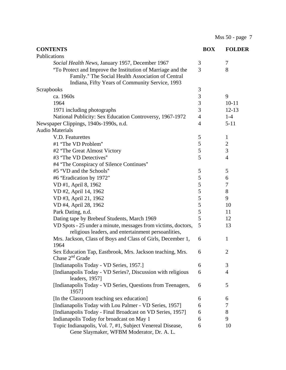Mss 50 - page 7

| <b>CONTENTS</b>                                                                                                                                                     | <b>BOX</b>     | <b>FOLDER</b>  |
|---------------------------------------------------------------------------------------------------------------------------------------------------------------------|----------------|----------------|
| Publications                                                                                                                                                        |                |                |
| Social Health News, January 1957, December 1967                                                                                                                     | 3              | $\tau$         |
| "To Protect and Improve the Institution of Marriage and the<br>Family." The Social Health Association of Central<br>Indiana, Fifty Years of Community Service, 1993 | 3              | 8              |
| <b>Scrapbooks</b>                                                                                                                                                   | 3              |                |
| ca. 1960s                                                                                                                                                           | $\mathfrak{Z}$ | 9              |
| 1964                                                                                                                                                                | 3              | $10 - 11$      |
| 1971 including photographs                                                                                                                                          | 3              | $12 - 13$      |
| National Publicity: Sex Education Controversy, 1967-1972                                                                                                            | $\overline{4}$ | $1-4$          |
| Newspaper Clippings, 1940s-1990s, n.d.                                                                                                                              | 4              | $5 - 11$       |
| <b>Audio Materials</b>                                                                                                                                              |                |                |
| V.D. Featurettes                                                                                                                                                    | 5              | $\mathbf{1}$   |
| #1 "The VD Problem"                                                                                                                                                 | 5              | $\overline{c}$ |
| #2 "The Great Almost Victory"                                                                                                                                       | 5              | $\overline{3}$ |
| #3 "The VD Detectives"                                                                                                                                              | 5              | $\overline{4}$ |
| #4 "The Conspiracy of Silence Continues"                                                                                                                            |                |                |
| #5 "VD and the Schools"                                                                                                                                             | 5              | 5              |
| #6 "Eradication by 1972"                                                                                                                                            | 5              | 6              |
| VD #1, April 8, 1962                                                                                                                                                | 5              | 7              |
| VD #2, April 14, 1962                                                                                                                                               | 5              | $8\,$          |
| VD #3, April 21, 1962                                                                                                                                               | 5              | 9              |
| VD #4, April 28, 1962                                                                                                                                               | 5              | 10             |
| Park Dating, n.d.                                                                                                                                                   | 5              | 11             |
| Dating tape by Brebeuf Students, March 1969                                                                                                                         | 5              | 12             |
| VD Spots - 25 under a minute, messages from victims, doctors,<br>religious leaders, and entertainment persoanlities,                                                | 5              | 13             |
| Mrs. Jackson, Class of Boys and Class of Girls, December 1,<br>1964                                                                                                 | 6              | $\mathbf{1}$   |
| Sex Education Tap, Eastbrook, Mrs. Jackson teaching, Mrs.<br>Chase $2nd$ Grade                                                                                      | 6              | $\overline{2}$ |
| [Indianapolis Today - VD Series, 1957.]                                                                                                                             | 6              | 3              |
| [Indianapolis Today - VD Series?, Discussion with religious<br>leaders, 1957]                                                                                       | 6              | $\overline{4}$ |
| [Indianapolis Today - VD Series, Questions from Teenagers,<br>1957]                                                                                                 | 6              | 5              |
| [In the Classroom teaching sex education]                                                                                                                           | 6              | 6              |
| [Indianapolis Today with Lou Palmer - VD Series, 1957]                                                                                                              | 6              | 7              |
| [Indianapolis Today - Final Broadcast on VD Series, 1957]                                                                                                           | 6              | 8              |
| Indianapolis Today for broadcast on May 1                                                                                                                           | 6              | 9              |
| Topic Indianapolis, Vol. 7, #1, Subject Venereal Disease,<br>Gene Slaymaker, WFBM Moderator, Dr. A. L.                                                              | 6              | 10             |